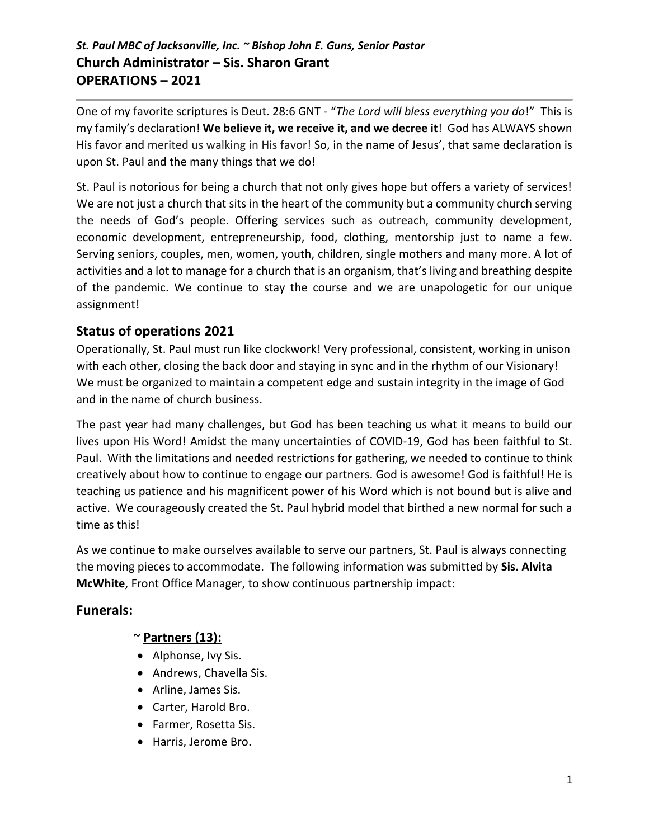# *St. Paul MBC of Jacksonville, Inc. ~ Bishop John E. Guns, Senior Pastor*  **Church Administrator – Sis. Sharon Grant OPERATIONS – 2021**

One of my favorite scriptures is Deut. 28:6 GNT - "*The Lord will bless everything you do*!" This is my family's declaration! **We believe it, we receive it, and we decree it**! God has ALWAYS shown His favor and merited us walking in His favor! So, in the name of Jesus', that same declaration is upon St. Paul and the many things that we do!

St. Paul is notorious for being a church that not only gives hope but offers a variety of services! We are not just a church that sits in the heart of the community but a community church serving the needs of God's people. Offering services such as outreach, community development, economic development, entrepreneurship, food, clothing, mentorship just to name a few. Serving seniors, couples, men, women, youth, children, single mothers and many more. A lot of activities and a lot to manage for a church that is an organism, that's living and breathing despite of the pandemic. We continue to stay the course and we are unapologetic for our unique assignment!

## **Status of operations 2021**

Operationally, St. Paul must run like clockwork! Very professional, consistent, working in unison with each other, closing the back door and staying in sync and in the rhythm of our Visionary! We must be organized to maintain a competent edge and sustain integrity in the image of God and in the name of church business.

The past year had many challenges, but God has been teaching us what it means to build our lives upon His Word! Amidst the many uncertainties of COVID-19, God has been faithful to St. Paul. With the limitations and needed restrictions for gathering, we needed to continue to think creatively about how to continue to engage our partners. God is awesome! God is faithful! He is teaching us patience and his magnificent power of his Word which is not bound but is alive and active. We courageously created the St. Paul hybrid model that birthed a new normal for such a time as this!

As we continue to make ourselves available to serve our partners, St. Paul is always connecting the moving pieces to accommodate. The following information was submitted by **Sis. Alvita McWhite**, Front Office Manager, to show continuous partnership impact:

# **Funerals:**

### ~ **Partners (13):**

- Alphonse, Ivy Sis.
- Andrews, Chavella Sis.
- Arline, James Sis.
- Carter, Harold Bro.
- Farmer, Rosetta Sis.
- Harris, Jerome Bro.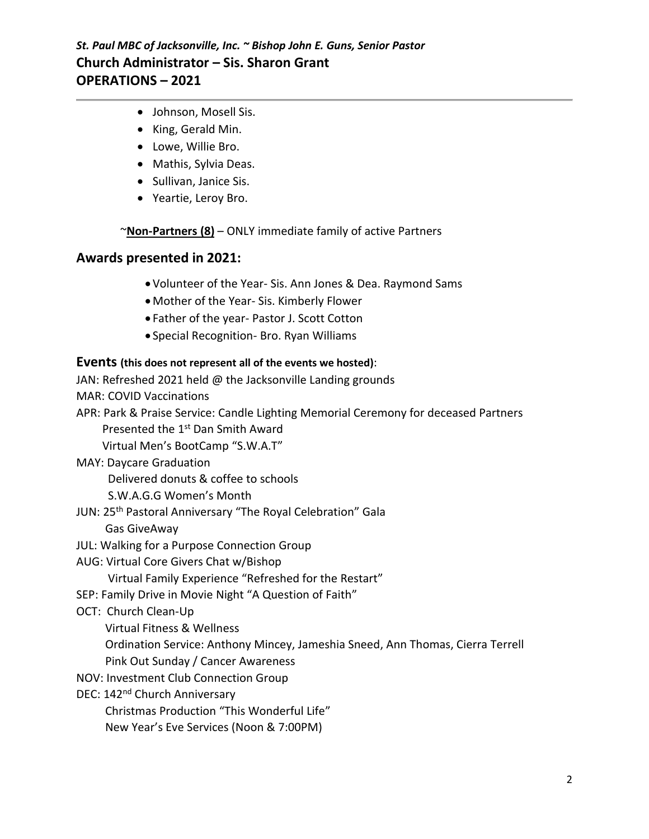### *St. Paul MBC of Jacksonville, Inc. ~ Bishop John E. Guns, Senior Pastor*  **Church Administrator – Sis. Sharon Grant OPERATIONS – 2021**

- Johnson, Mosell Sis.
- King, Gerald Min.
- Lowe, Willie Bro.
- Mathis, Sylvia Deas.
- Sullivan, Janice Sis.
- Yeartie, Leroy Bro.

~**Non-Partners (8)** – ONLY immediate family of active Partners

### **Awards presented in 2021:**

- •Volunteer of the Year- Sis. Ann Jones & Dea. Raymond Sams
- •Mother of the Year- Sis. Kimberly Flower
- Father of the year- Pastor J. Scott Cotton
- Special Recognition- Bro. Ryan Williams

#### **Events (this does not represent all of the events we hosted)**:

JAN: Refreshed 2021 held @ the Jacksonville Landing grounds

MAR: COVID Vaccinations

APR: Park & Praise Service: Candle Lighting Memorial Ceremony for deceased Partners

Presented the 1<sup>st</sup> Dan Smith Award

Virtual Men's BootCamp "S.W.A.T"

MAY: Daycare Graduation

Delivered donuts & coffee to schools

S.W.A.G.G Women's Month

JUN: 25<sup>th</sup> Pastoral Anniversary "The Royal Celebration" Gala

Gas GiveAway

- JUL: Walking for a Purpose Connection Group
- AUG: Virtual Core Givers Chat w/Bishop

Virtual Family Experience "Refreshed for the Restart"

- SEP: Family Drive in Movie Night "A Question of Faith"
- OCT: Church Clean-Up

Virtual Fitness & Wellness

Ordination Service: Anthony Mincey, Jameshia Sneed, Ann Thomas, Cierra Terrell

- Pink Out Sunday / Cancer Awareness
- NOV: Investment Club Connection Group

DEC: 142<sup>nd</sup> Church Anniversary

Christmas Production "This Wonderful Life"

New Year's Eve Services (Noon & 7:00PM)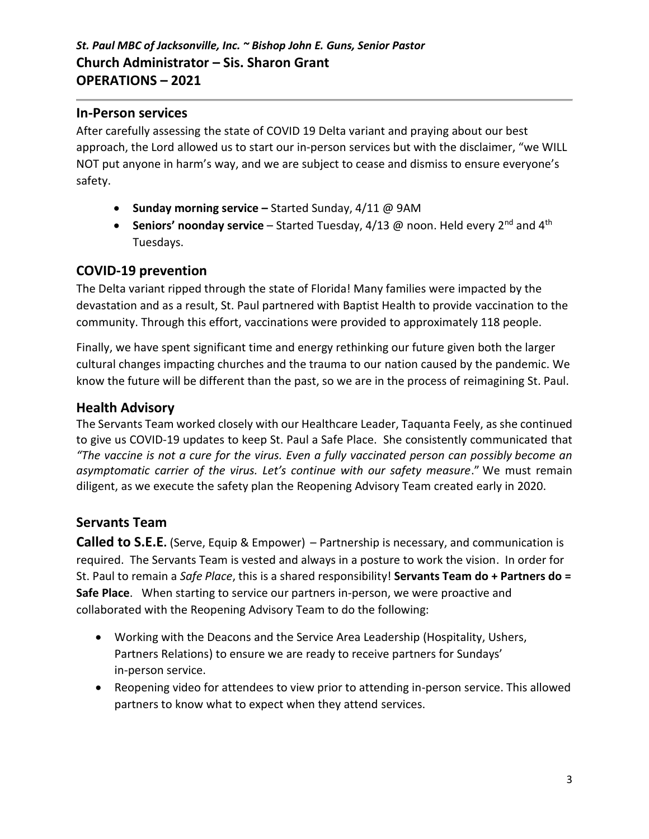### **In-Person services**

After carefully assessing the state of COVID 19 Delta variant and praying about our best approach, the Lord allowed us to start our in-person services but with the disclaimer, "we WILL NOT put anyone in harm's way, and we are subject to cease and dismiss to ensure everyone's safety.

- **Sunday morning service –** Started Sunday, 4/11 @ 9AM
- **Seniors' noonday service** Started Tuesday, 4/13 @ noon. Held every 2<sup>nd</sup> and 4<sup>th</sup> Tuesdays.

## **COVID-19 prevention**

The Delta variant ripped through the state of Florida! Many families were impacted by the devastation and as a result, St. Paul partnered with Baptist Health to provide vaccination to the community. Through this effort, vaccinations were provided to approximately 118 people.

Finally, we have spent significant time and energy rethinking our future given both the larger cultural changes impacting churches and the trauma to our nation caused by the pandemic. We know the future will be different than the past, so we are in the process of reimagining St. Paul.

## **Health Advisory**

The Servants Team worked closely with our Healthcare Leader, Taquanta Feely, as she continued to give us COVID-19 updates to keep St. Paul a Safe Place. She consistently communicated that *"The vaccine is not a cure for the virus. Even a fully vaccinated person can possibly become an asymptomatic carrier of the virus. Let's continue with our safety measure*." We must remain diligent, as we execute the safety plan the Reopening Advisory Team created early in 2020.

# **Servants Team**

**Called to S.E.E.** (Serve, Equip & Empower) – Partnership is necessary, and communication is required. The Servants Team is vested and always in a posture to work the vision. In order for St. Paul to remain a *Safe Place*, this is a shared responsibility! **Servants Team do + Partners do = Safe Place**. When starting to service our partners in-person, we were proactive and collaborated with the Reopening Advisory Team to do the following:

- Working with the Deacons and the Service Area Leadership (Hospitality, Ushers, Partners Relations) to ensure we are ready to receive partners for Sundays' in-person service.
- Reopening video for attendees to view prior to attending in-person service. This allowed partners to know what to expect when they attend services.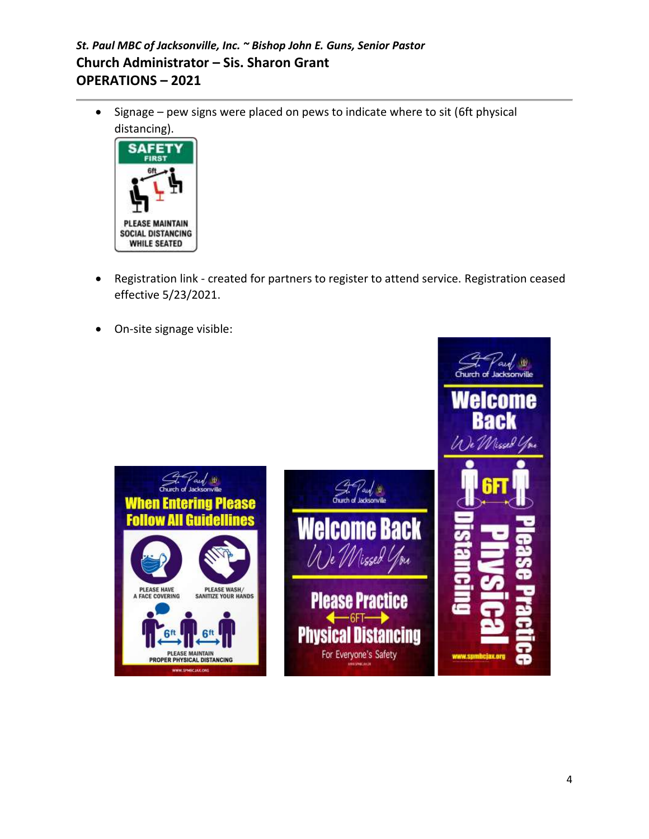# *St. Paul MBC of Jacksonville, Inc. ~ Bishop John E. Guns, Senior Pastor*  **Church Administrator – Sis. Sharon Grant OPERATIONS – 2021**

• Signage – pew signs were placed on pews to indicate where to sit (6ft physical distancing).



- Registration link created for partners to register to attend service. Registration ceased effective 5/23/2021.
- On-site signage visible:

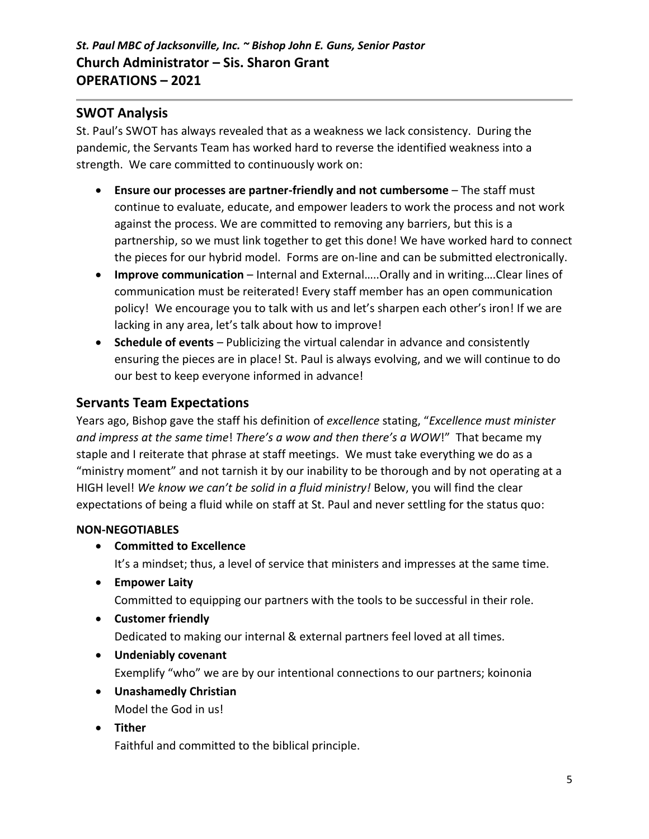### **SWOT Analysis**

St. Paul's SWOT has always revealed that as a weakness we lack consistency. During the pandemic, the Servants Team has worked hard to reverse the identified weakness into a strength. We care committed to continuously work on:

- **Ensure our processes are partner-friendly and not cumbersome** The staff must continue to evaluate, educate, and empower leaders to work the process and not work against the process. We are committed to removing any barriers, but this is a partnership, so we must link together to get this done! We have worked hard to connect the pieces for our hybrid model. Forms are on-line and can be submitted electronically.
- **Improve communication** Internal and External…..Orally and in writing….Clear lines of communication must be reiterated! Every staff member has an open communication policy! We encourage you to talk with us and let's sharpen each other's iron! If we are lacking in any area, let's talk about how to improve!
- **Schedule of events** Publicizing the virtual calendar in advance and consistently ensuring the pieces are in place! St. Paul is always evolving, and we will continue to do our best to keep everyone informed in advance!

## **Servants Team Expectations**

Years ago, Bishop gave the staff his definition of *excellence* stating, "*Excellence must minister and impress at the same time*! *There's a wow and then there's a WOW*!" That became my staple and I reiterate that phrase at staff meetings. We must take everything we do as a "ministry moment" and not tarnish it by our inability to be thorough and by not operating at a HIGH level! *We know we can't be solid in a fluid ministry!* Below, you will find the clear expectations of being a fluid while on staff at St. Paul and never settling for the status quo:

### **NON-NEGOTIABLES**

• **Committed to Excellence**

It's a mindset; thus, a level of service that ministers and impresses at the same time.

- **Empower Laity** Committed to equipping our partners with the tools to be successful in their role.
- **Customer friendly**

Dedicated to making our internal & external partners feel loved at all times.

• **Undeniably covenant**

Exemplify "who" we are by our intentional connections to our partners; koinonia

- **Unashamedly Christian** Model the God in us!
- 
- **Tither**

Faithful and committed to the biblical principle.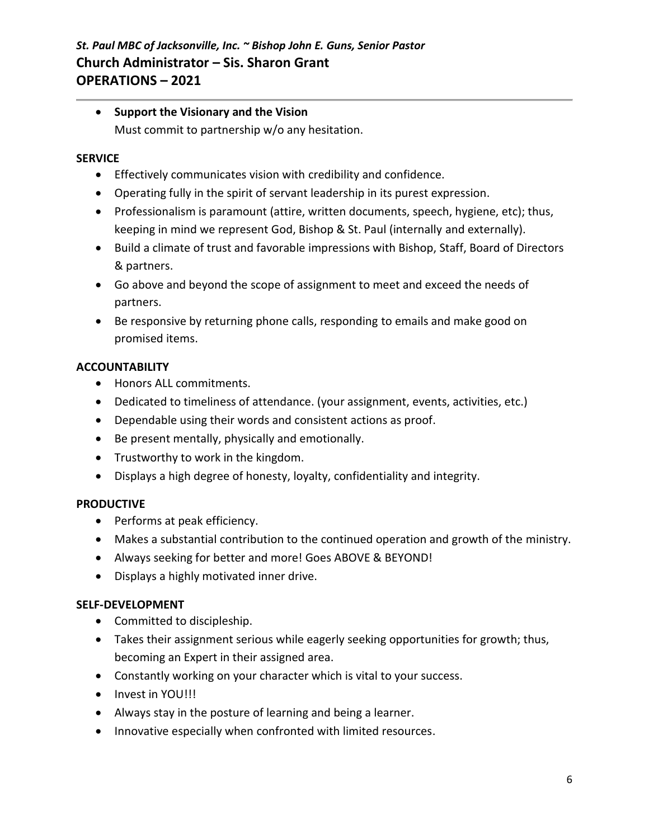• **Support the Visionary and the Vision** Must commit to partnership w/o any hesitation.

#### **SERVICE**

- Effectively communicates vision with credibility and confidence.
- Operating fully in the spirit of servant leadership in its purest expression.
- Professionalism is paramount (attire, written documents, speech, hygiene, etc); thus, keeping in mind we represent God, Bishop & St. Paul (internally and externally).
- Build a climate of trust and favorable impressions with Bishop, Staff, Board of Directors & partners.
- Go above and beyond the scope of assignment to meet and exceed the needs of partners.
- Be responsive by returning phone calls, responding to emails and make good on promised items.

#### **ACCOUNTABILITY**

- Honors ALL commitments.
- Dedicated to timeliness of attendance. (your assignment, events, activities, etc.)
- Dependable using their words and consistent actions as proof.
- Be present mentally, physically and emotionally.
- Trustworthy to work in the kingdom.
- Displays a high degree of honesty, loyalty, confidentiality and integrity.

#### **PRODUCTIVE**

- Performs at peak efficiency.
- Makes a substantial contribution to the continued operation and growth of the ministry.
- Always seeking for better and more! Goes ABOVE & BEYOND!
- Displays a highly motivated inner drive.

#### **SELF-DEVELOPMENT**

- Committed to discipleship.
- Takes their assignment serious while eagerly seeking opportunities for growth; thus, becoming an Expert in their assigned area.
- Constantly working on your character which is vital to your success.
- Invest in YOU!!!
- Always stay in the posture of learning and being a learner.
- Innovative especially when confronted with limited resources.